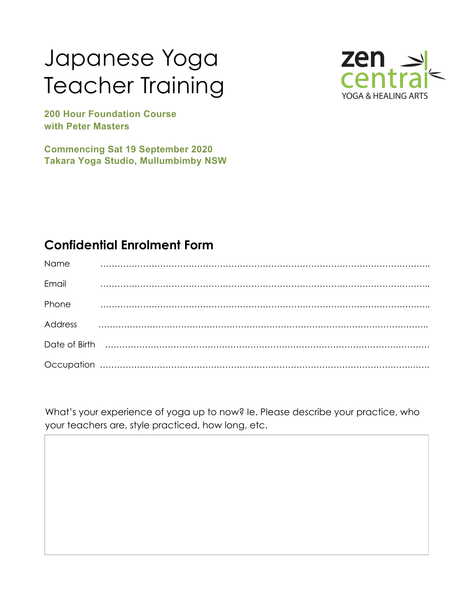## Japanese Yoga Teacher Training



**200 Hour Foundation Course with Peter Masters** 

**Commencing Sat 19 September 2020 Takara Yoga Studio, Mullumbimby NSW**

## **Confidential Enrolment Form**

| Name           |  |
|----------------|--|
| Email          |  |
| Phone          |  |
| <b>Address</b> |  |
|                |  |
|                |  |

What's your experience of yoga up to now? Ie. Please describe your practice, who your teachers are, style practiced, how long, etc.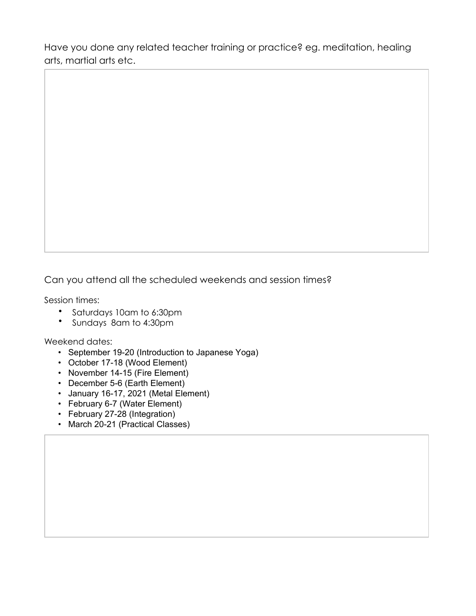Have you done any related teacher training or practice? eg. meditation, healing arts, martial arts etc.

Can you attend all the scheduled weekends and session times?

Session times:

- Saturdays 10am to 6:30pm
- Sundays 8am to 4:30pm

Weekend dates:

- September 19-20 (Introduction to Japanese Yoga)
- October 17-18 (Wood Element)
- November 14-15 (Fire Element)
- December 5-6 (Earth Element)
- January 16-17, 2021 (Metal Element)
- February 6-7 (Water Element)
- February 27-28 (Integration)
- March 20-21 (Practical Classes)